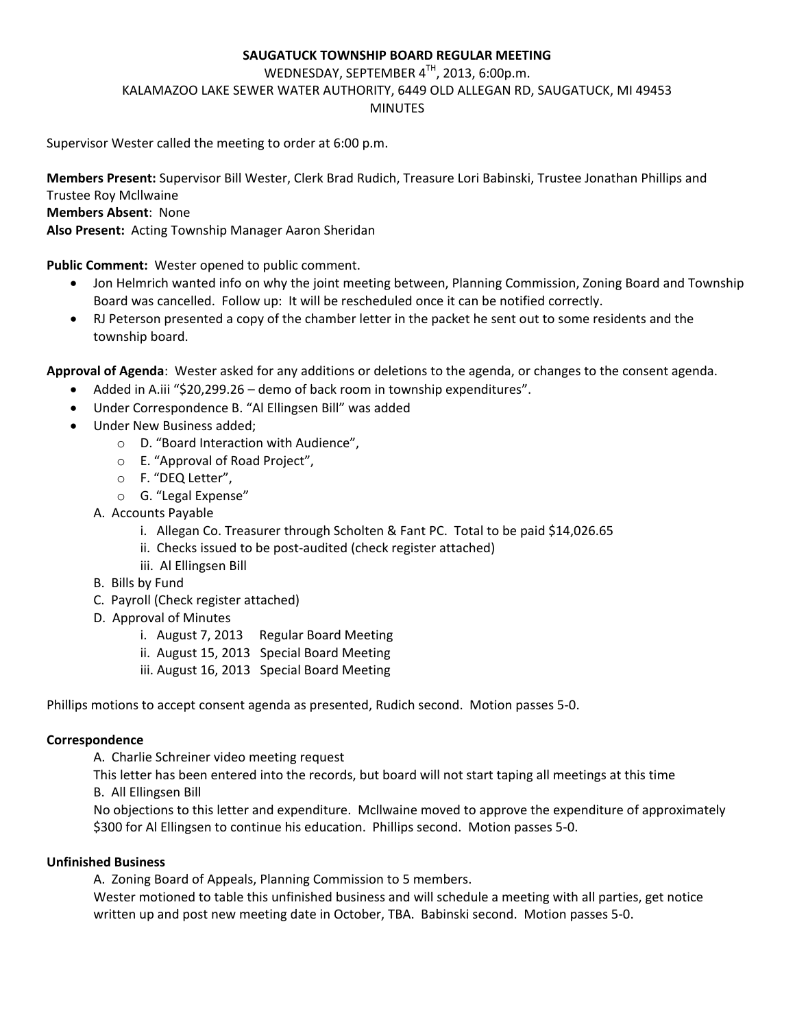### **SAUGATUCK TOWNSHIP BOARD REGULAR MEETING**

WEDNESDAY, SEPTEMBER 4TH, 2013, 6:00p.m. KALAMAZOO LAKE SEWER WATER AUTHORITY, 6449 OLD ALLEGAN RD, SAUGATUCK, MI 49453 MINUTES

Supervisor Wester called the meeting to order at 6:00 p.m.

**Members Present:** Supervisor Bill Wester, Clerk Brad Rudich, Treasure Lori Babinski, Trustee Jonathan Phillips and Trustee Roy Mcllwaine

### **Members Absent**: None

**Also Present:** Acting Township Manager Aaron Sheridan

**Public Comment:** Wester opened to public comment.

- Jon Helmrich wanted info on why the joint meeting between, Planning Commission, Zoning Board and Township Board was cancelled. Follow up: It will be rescheduled once it can be notified correctly.
- RJ Peterson presented a copy of the chamber letter in the packet he sent out to some residents and the township board.

**Approval of Agenda**: Wester asked for any additions or deletions to the agenda, or changes to the consent agenda.

- Added in A.iii "\$20,299.26 demo of back room in township expenditures".
- Under Correspondence B. "Al Ellingsen Bill" was added
- Under New Business added;
	- o D. "Board Interaction with Audience",
	- o E. "Approval of Road Project",
	- o F. "DEQ Letter",
	- o G. "Legal Expense"
	- A. Accounts Payable
		- i. Allegan Co. Treasurer through Scholten & Fant PC. Total to be paid \$14,026.65
		- ii. Checks issued to be post-audited (check register attached)
		- iii. Al Ellingsen Bill
	- B. Bills by Fund
	- C. Payroll (Check register attached)
	- D. Approval of Minutes
		- i. August 7, 2013 Regular Board Meeting
		- ii. August 15, 2013 Special Board Meeting
		- iii. August 16, 2013 Special Board Meeting

Phillips motions to accept consent agenda as presented, Rudich second. Motion passes 5-0.

#### **Correspondence**

A. Charlie Schreiner video meeting request

This letter has been entered into the records, but board will not start taping all meetings at this time B. All Ellingsen Bill

No objections to this letter and expenditure. Mcllwaine moved to approve the expenditure of approximately \$300 for Al Ellingsen to continue his education. Phillips second. Motion passes 5-0.

#### **Unfinished Business**

A. Zoning Board of Appeals, Planning Commission to 5 members.

Wester motioned to table this unfinished business and will schedule a meeting with all parties, get notice written up and post new meeting date in October, TBA. Babinski second. Motion passes 5-0.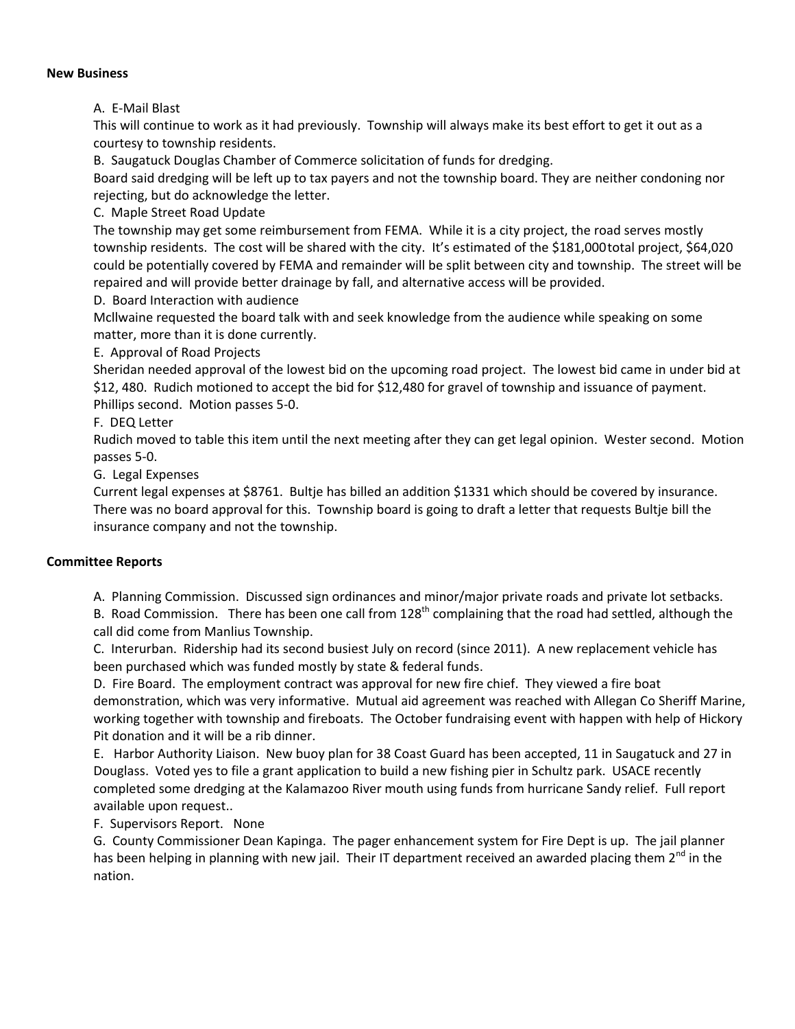#### **New Business**

A. E-Mail Blast

This will continue to work as it had previously. Township will always make its best effort to get it out as a courtesy to township residents.

B. Saugatuck Douglas Chamber of Commerce solicitation of funds for dredging.

Board said dredging will be left up to tax payers and not the township board. They are neither condoning nor rejecting, but do acknowledge the letter.

C. Maple Street Road Update

The township may get some reimbursement from FEMA. While it is a city project, the road serves mostly township residents. The cost will be shared with the city. It's estimated of the \$181,000total project, \$64,020 could be potentially covered by FEMA and remainder will be split between city and township. The street will be repaired and will provide better drainage by fall, and alternative access will be provided.

D. Board Interaction with audience

Mcllwaine requested the board talk with and seek knowledge from the audience while speaking on some matter, more than it is done currently.

E. Approval of Road Projects

Sheridan needed approval of the lowest bid on the upcoming road project. The lowest bid came in under bid at \$12, 480. Rudich motioned to accept the bid for \$12,480 for gravel of township and issuance of payment. Phillips second. Motion passes 5-0.

F. DEQ Letter

Rudich moved to table this item until the next meeting after they can get legal opinion. Wester second. Motion passes 5-0.

G. Legal Expenses

Current legal expenses at \$8761. Bultje has billed an addition \$1331 which should be covered by insurance. There was no board approval for this. Township board is going to draft a letter that requests Bultje bill the insurance company and not the township.

## **Committee Reports**

A. Planning Commission. Discussed sign ordinances and minor/major private roads and private lot setbacks.

B. Road Commission. There has been one call from  $128<sup>th</sup>$  complaining that the road had settled, although the call did come from Manlius Township.

C. Interurban. Ridership had its second busiest July on record (since 2011). A new replacement vehicle has been purchased which was funded mostly by state & federal funds.

D. Fire Board. The employment contract was approval for new fire chief. They viewed a fire boat demonstration, which was very informative. Mutual aid agreement was reached with Allegan Co Sheriff Marine, working together with township and fireboats. The October fundraising event with happen with help of Hickory Pit donation and it will be a rib dinner.

E. Harbor Authority Liaison. New buoy plan for 38 Coast Guard has been accepted, 11 in Saugatuck and 27 in Douglass. Voted yes to file a grant application to build a new fishing pier in Schultz park. USACE recently completed some dredging at the Kalamazoo River mouth using funds from hurricane Sandy relief. Full report available upon request..

F. Supervisors Report. None

G. County Commissioner Dean Kapinga. The pager enhancement system for Fire Dept is up. The jail planner has been helping in planning with new jail. Their IT department received an awarded placing them 2<sup>nd</sup> in the nation.